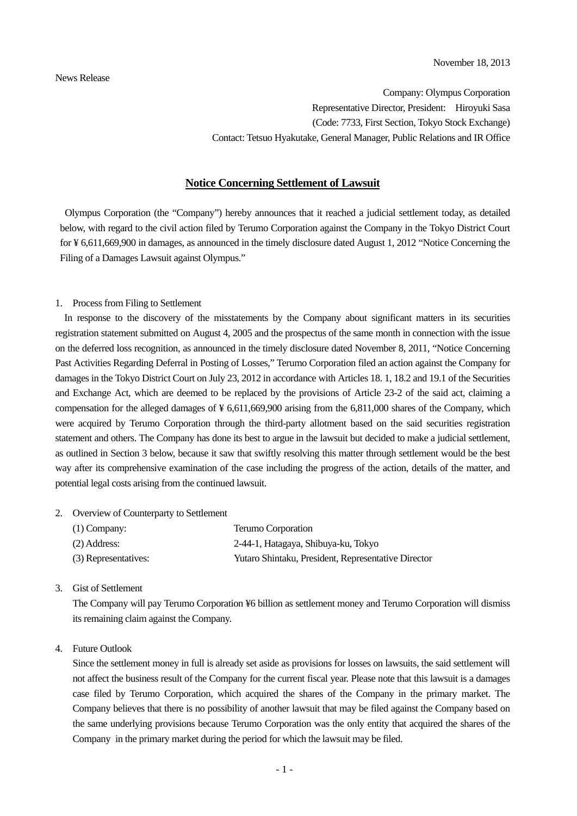Company: Olympus Corporation Representative Director, President: Hiroyuki Sasa (Code: 7733, First Section, Tokyo Stock Exchange) Contact: Tetsuo Hyakutake, General Manager, Public Relations and IR Office

## **Notice Concerning Settlement of Lawsuit**

Olympus Corporation (the "Company") hereby announces that it reached a judicial settlement today, as detailed below, with regard to the civil action filed by Terumo Corporation against the Company in the Tokyo District Court for ¥ 6,611,669,900 in damages, as announced in the timely disclosure dated August 1, 2012 "Notice Concerning the Filing of a Damages Lawsuit against Olympus."

## 1. Process from Filing to Settlement

In response to the discovery of the misstatements by the Company about significant matters in its securities registration statement submitted on August 4, 2005 and the prospectus of the same month in connection with the issue on the deferred loss recognition, as announced in the timely disclosure dated November 8, 2011, "Notice Concerning Past Activities Regarding Deferral in Posting of Losses," Terumo Corporation filed an action against the Company for damages in the Tokyo District Court on July 23, 2012 in accordance with Articles 18. 1, 18.2 and 19.1 of the Securities and Exchange Act, which are deemed to be replaced by the provisions of Article 23-2 of the said act, claiming a compensation for the alleged damages of ¥ 6,611,669,900 arising from the 6,811,000 shares of the Company, which were acquired by Terumo Corporation through the third-party allotment based on the said securities registration statement and others. The Company has done its best to argue in the lawsuit but decided to make a judicial settlement, as outlined in Section 3 below, because it saw that swiftly resolving this matter through settlement would be the best way after its comprehensive examination of the case including the progress of the action, details of the matter, and potential legal costs arising from the continued lawsuit.

## 2. Overview of Counterparty to Settlement

| $(1)$ Company:       | Terumo Corporation                                  |
|----------------------|-----------------------------------------------------|
| (2) Address:         | 2-44-1, Hatagaya, Shibuya-ku, Tokyo                 |
| (3) Representatives: | Yutaro Shintaku, President, Representative Director |

3. Gist of Settlement

The Company will pay Terumo Corporation ¥6 billion as settlement money and Terumo Corporation will dismiss its remaining claim against the Company.

## 4. Future Outlook

Since the settlement money in full is already set aside as provisions for losses on lawsuits, the said settlement will not affect the business result of the Company for the current fiscal year. Please note that this lawsuit is a damages case filed by Terumo Corporation, which acquired the shares of the Company in the primary market. The Company believes that there is no possibility of another lawsuit that may be filed against the Company based on the same underlying provisions because Terumo Corporation was the only entity that acquired the shares of the Company in the primary market during the period for which the lawsuit may be filed.